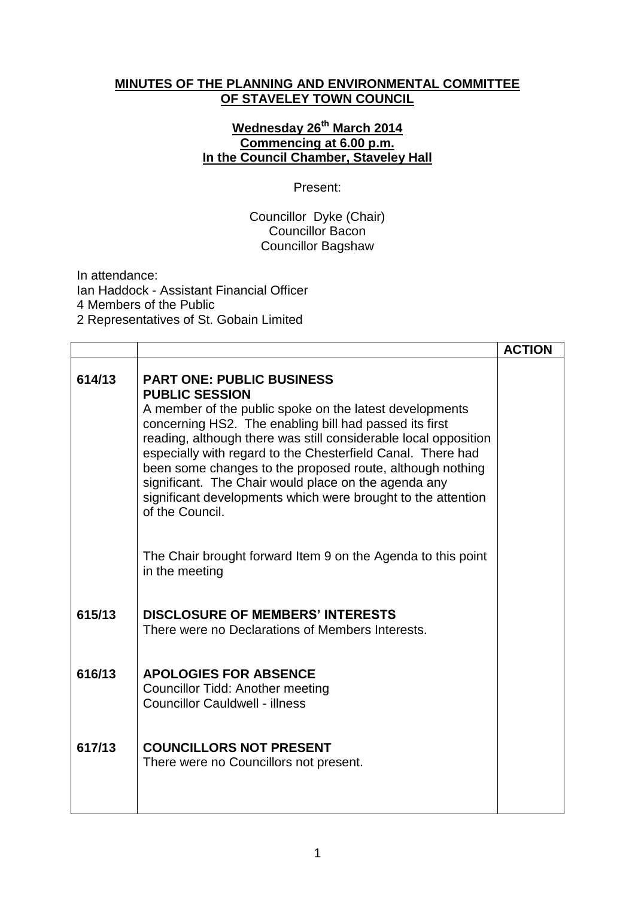## **MINUTES OF THE PLANNING AND ENVIRONMENTAL COMMITTEE OF STAVELEY TOWN COUNCIL**

## **Wednesday 26 th March 2014 Commencing at 6.00 p.m. In the Council Chamber, Staveley Hall**

## Present:

## Councillor Dyke (Chair) Councillor Bacon Councillor Bagshaw

In attendance: Ian Haddock - Assistant Financial Officer 4 Members of the Public 2 Representatives of St. Gobain Limited

|        |                                                                                                                                                                                                                                                                                                                                                                                                                                                                                                                          | <b>ACTION</b> |
|--------|--------------------------------------------------------------------------------------------------------------------------------------------------------------------------------------------------------------------------------------------------------------------------------------------------------------------------------------------------------------------------------------------------------------------------------------------------------------------------------------------------------------------------|---------------|
| 614/13 | <b>PART ONE: PUBLIC BUSINESS</b><br><b>PUBLIC SESSION</b><br>A member of the public spoke on the latest developments<br>concerning HS2. The enabling bill had passed its first<br>reading, although there was still considerable local opposition<br>especially with regard to the Chesterfield Canal. There had<br>been some changes to the proposed route, although nothing<br>significant. The Chair would place on the agenda any<br>significant developments which were brought to the attention<br>of the Council. |               |
|        | The Chair brought forward Item 9 on the Agenda to this point<br>in the meeting                                                                                                                                                                                                                                                                                                                                                                                                                                           |               |
| 615/13 | <b>DISCLOSURE OF MEMBERS' INTERESTS</b><br>There were no Declarations of Members Interests.                                                                                                                                                                                                                                                                                                                                                                                                                              |               |
| 616/13 | <b>APOLOGIES FOR ABSENCE</b><br><b>Councillor Tidd: Another meeting</b><br><b>Councillor Cauldwell - illness</b>                                                                                                                                                                                                                                                                                                                                                                                                         |               |
| 617/13 | <b>COUNCILLORS NOT PRESENT</b><br>There were no Councillors not present.                                                                                                                                                                                                                                                                                                                                                                                                                                                 |               |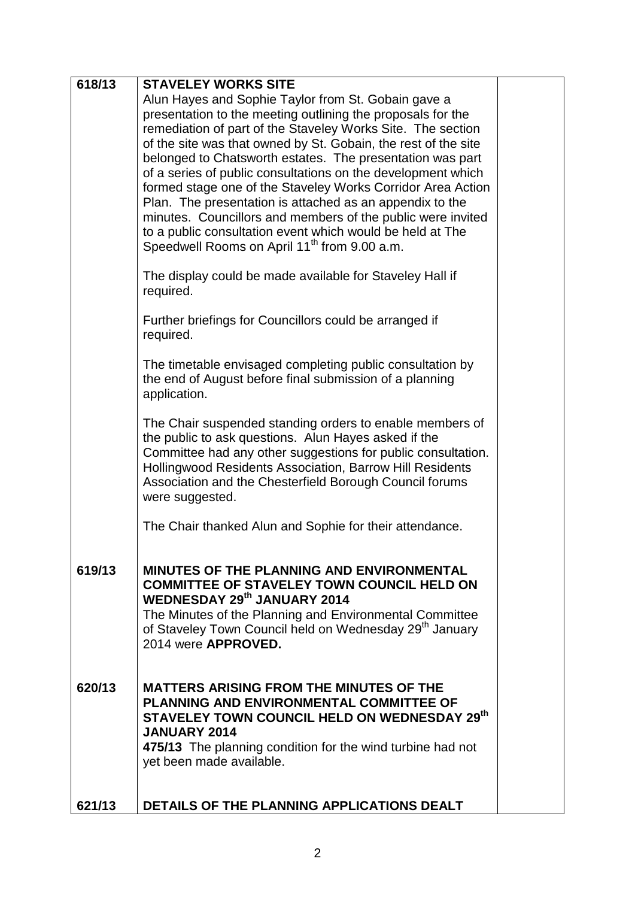| 618/13 | <b>STAVELEY WORKS SITE</b>                                                                                              |  |
|--------|-------------------------------------------------------------------------------------------------------------------------|--|
|        | Alun Hayes and Sophie Taylor from St. Gobain gave a                                                                     |  |
|        | presentation to the meeting outlining the proposals for the                                                             |  |
|        | remediation of part of the Staveley Works Site. The section                                                             |  |
|        | of the site was that owned by St. Gobain, the rest of the site                                                          |  |
|        | belonged to Chatsworth estates. The presentation was part                                                               |  |
|        | of a series of public consultations on the development which                                                            |  |
|        | formed stage one of the Staveley Works Corridor Area Action<br>Plan. The presentation is attached as an appendix to the |  |
|        | minutes. Councillors and members of the public were invited                                                             |  |
|        | to a public consultation event which would be held at The                                                               |  |
|        | Speedwell Rooms on April 11 <sup>th</sup> from 9.00 a.m.                                                                |  |
|        |                                                                                                                         |  |
|        | The display could be made available for Staveley Hall if                                                                |  |
|        | required.                                                                                                               |  |
|        | Further briefings for Councillors could be arranged if                                                                  |  |
|        | required.                                                                                                               |  |
|        |                                                                                                                         |  |
|        | The timetable envisaged completing public consultation by                                                               |  |
|        | the end of August before final submission of a planning                                                                 |  |
|        | application.                                                                                                            |  |
|        | The Chair suspended standing orders to enable members of                                                                |  |
|        | the public to ask questions. Alun Hayes asked if the                                                                    |  |
|        | Committee had any other suggestions for public consultation.                                                            |  |
|        | Hollingwood Residents Association, Barrow Hill Residents                                                                |  |
|        | Association and the Chesterfield Borough Council forums                                                                 |  |
|        | were suggested.                                                                                                         |  |
|        | The Chair thanked Alun and Sophie for their attendance.                                                                 |  |
|        |                                                                                                                         |  |
|        |                                                                                                                         |  |
| 619/13 | <b>MINUTES OF THE PLANNING AND ENVIRONMENTAL</b><br><b>COMMITTEE OF STAVELEY TOWN COUNCIL HELD ON</b>                   |  |
|        | <b>WEDNESDAY 29th JANUARY 2014</b>                                                                                      |  |
|        | The Minutes of the Planning and Environmental Committee                                                                 |  |
|        | of Staveley Town Council held on Wednesday 29 <sup>th</sup> January                                                     |  |
|        | 2014 were APPROVED.                                                                                                     |  |
|        |                                                                                                                         |  |
| 620/13 | <b>MATTERS ARISING FROM THE MINUTES OF THE</b>                                                                          |  |
|        | PLANNING AND ENVIRONMENTAL COMMITTEE OF                                                                                 |  |
|        | STAVELEY TOWN COUNCIL HELD ON WEDNESDAY 29th                                                                            |  |
|        | <b>JANUARY 2014</b>                                                                                                     |  |
|        | 475/13 The planning condition for the wind turbine had not                                                              |  |
|        | yet been made available.                                                                                                |  |
|        |                                                                                                                         |  |
| 621/13 | DETAILS OF THE PLANNING APPLICATIONS DEALT                                                                              |  |